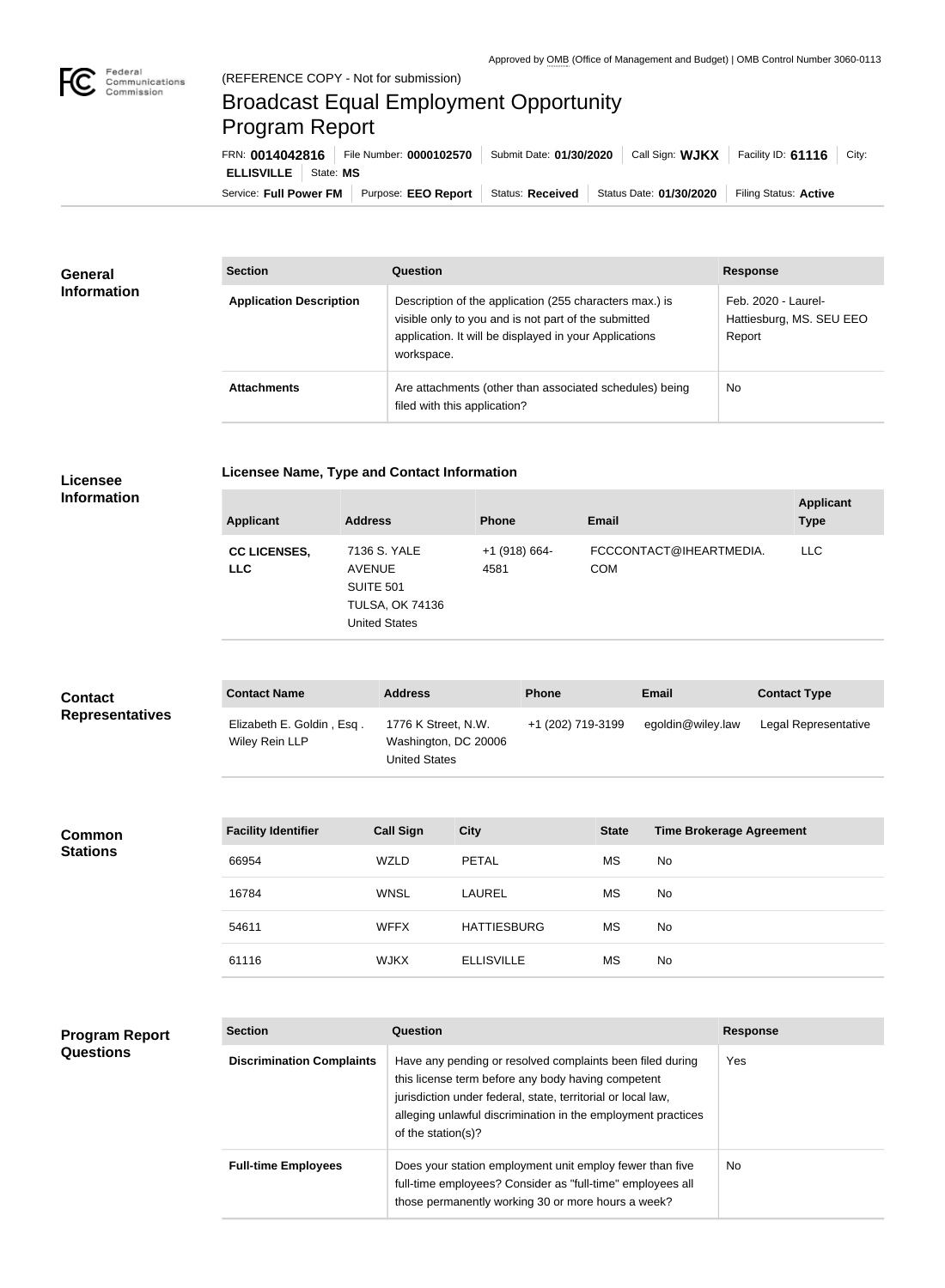**COL** 

## Broadcast Equal Employment Opportunity Program Report

Service: Full Power FM Purpose: EEO Report | Status: Received | Status Date: 01/30/2020 | Filing Status: Active **ELLISVILLE** State: **MS** FRN: **0014042816** File Number: **0000102570** Submit Date: **01/30/2020** Call Sign: **WJKX** Facility ID: **61116** City:

| <b>General</b><br><b>Information</b> | <b>Section</b>                 | Question                                                                                                                                                                                | <b>Response</b>                                           |
|--------------------------------------|--------------------------------|-----------------------------------------------------------------------------------------------------------------------------------------------------------------------------------------|-----------------------------------------------------------|
|                                      | <b>Application Description</b> | Description of the application (255 characters max.) is<br>visible only to you and is not part of the submitted<br>application. It will be displayed in your Applications<br>workspace. | Feb. 2020 - Laurel-<br>Hattiesburg, MS. SEU EEO<br>Report |
|                                      | <b>Attachments</b>             | Are attachments (other than associated schedules) being<br>filed with this application?                                                                                                 | <b>No</b>                                                 |

## **Licensee**

## **Licensee Name, Type and Contact Information**

**Information**

**Program Report** 

**Questions**

| <b>Applicant</b>                  | <b>Address</b>                                                                                      | <b>Phone</b>          | <b>Email</b>                          | <b>Applicant</b><br><b>Type</b> |
|-----------------------------------|-----------------------------------------------------------------------------------------------------|-----------------------|---------------------------------------|---------------------------------|
| <b>CC LICENSES,</b><br><b>LLC</b> | 7136 S. YALE<br><b>AVENUE</b><br><b>SUITE 501</b><br><b>TULSA, OK 74136</b><br><b>United States</b> | +1 (918) 664-<br>4581 | FCCCONTACT@IHEARTMEDIA.<br><b>COM</b> | <b>LLC</b>                      |

| <b>Contact</b>         | <b>Contact Name</b>                         | <b>Address</b>                                               | <b>Phone</b>      | Email             | <b>Contact Type</b>  |
|------------------------|---------------------------------------------|--------------------------------------------------------------|-------------------|-------------------|----------------------|
| <b>Representatives</b> | Elizabeth E. Goldin, Esq.<br>Wiley Rein LLP | 1776 K Street, N.W.<br>Washington, DC 20006<br>United States | +1 (202) 719-3199 | egoldin@wiley.law | Legal Representative |

| <b>Common</b><br><b>Stations</b> | <b>Facility Identifier</b> | <b>Call Sign</b> | <b>City</b>        | <b>State</b> | <b>Time Brokerage Agreement</b> |
|----------------------------------|----------------------------|------------------|--------------------|--------------|---------------------------------|
|                                  | 66954                      | WZLD             | <b>PETAL</b>       | MS           | No                              |
|                                  | 16784                      | <b>WNSL</b>      | LAUREL             | МS           | No                              |
|                                  | 54611                      | <b>WFFX</b>      | <b>HATTIESBURG</b> | МS           | No                              |
|                                  | 61116                      | <b>WJKX</b>      | <b>ELLISVILLE</b>  | МS           | No                              |

| <b>Section</b>                   | Question                                                                                                                                                                                                                                                              | <b>Response</b> |
|----------------------------------|-----------------------------------------------------------------------------------------------------------------------------------------------------------------------------------------------------------------------------------------------------------------------|-----------------|
| <b>Discrimination Complaints</b> | Have any pending or resolved complaints been filed during<br>this license term before any body having competent<br>jurisdiction under federal, state, territorial or local law,<br>alleging unlawful discrimination in the employment practices<br>of the station(s)? | Yes             |
| <b>Full-time Employees</b>       | Does your station employment unit employ fewer than five<br>full-time employees? Consider as "full-time" employees all<br>those permanently working 30 or more hours a week?                                                                                          | No.             |